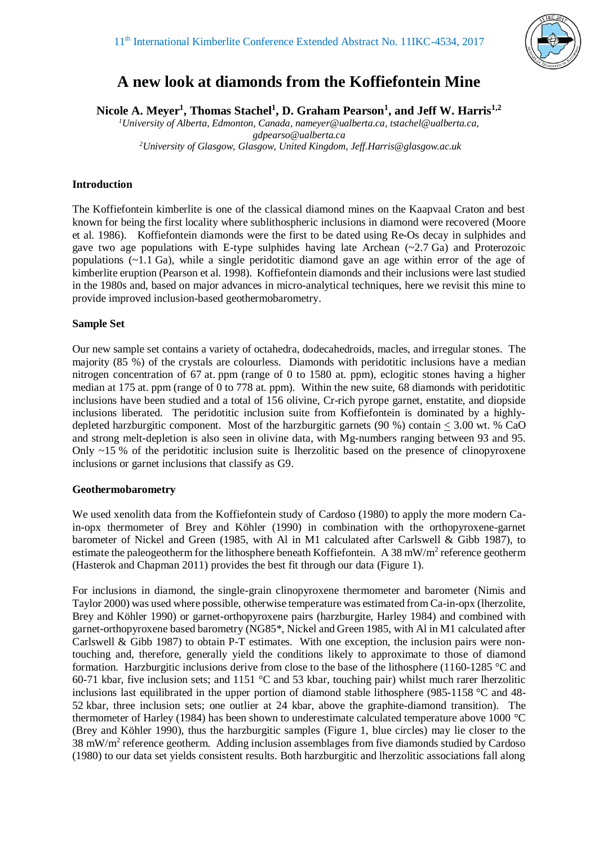

# **A new look at diamonds from the Koffiefontein Mine**

**Nicole A. Meyer<sup>1</sup> , Thomas Stachel<sup>1</sup> , D. Graham Pearson<sup>1</sup> , and Jeff W. Harris1,2**

*<sup>1</sup>University of Alberta, Edmonton, Canada, nameyer@ualberta.ca, tstachel@ualberta.ca, gdpearso@ualberta.ca <sup>2</sup>University of Glasgow, Glasgow, United Kingdom, Jeff.Harris@glasgow.ac.uk*

# **Introduction**

The Koffiefontein kimberlite is one of the classical diamond mines on the Kaapvaal Craton and best known for being the first locality where sublithospheric inclusions in diamond were recovered (Moore et al. 1986). Koffiefontein diamonds were the first to be dated using Re-Os decay in sulphides and gave two age populations with E-type sulphides having late Archean  $(\sim 2.7 \text{ Ga})$  and Proterozoic populations (~1.1 Ga), while a single peridotitic diamond gave an age within error of the age of kimberlite eruption (Pearson et al. 1998). Koffiefontein diamonds and their inclusions were last studied in the 1980s and, based on major advances in micro-analytical techniques, here we revisit this mine to provide improved inclusion-based geothermobarometry.

# **Sample Set**

Our new sample set contains a variety of octahedra, dodecahedroids, macles, and irregular stones. The majority (85 %) of the crystals are colourless. Diamonds with peridotitic inclusions have a median nitrogen concentration of 67 at. ppm (range of 0 to 1580 at. ppm), eclogitic stones having a higher median at 175 at. ppm (range of 0 to 778 at. ppm). Within the new suite, 68 diamonds with peridotitic inclusions have been studied and a total of 156 olivine, Cr-rich pyrope garnet, enstatite, and diopside inclusions liberated. The peridotitic inclusion suite from Koffiefontein is dominated by a highlydepleted harzburgitic component. Most of the harzburgitic garnets (90 %) contain < 3.00 wt. % CaO and strong melt-depletion is also seen in olivine data, with Mg-numbers ranging between 93 and 95. Only  $\sim$ 15 % of the peridotitic inclusion suite is lherzolitic based on the presence of clinopyroxene inclusions or garnet inclusions that classify as G9.

### **Geothermobarometry**

We used xenolith data from the Koffiefontein study of Cardoso (1980) to apply the more modern Cain-opx thermometer of Brey and Köhler (1990) in combination with the orthopyroxene-garnet barometer of Nickel and Green (1985, with Al in M1 calculated after Carlswell & Gibb 1987), to estimate the paleogeotherm for the lithosphere beneath Koffiefontein. A 38 mW/m<sup>2</sup> reference geotherm (Hasterok and Chapman 2011) provides the best fit through our data (Figure 1).

For inclusions in diamond, the single-grain clinopyroxene thermometer and barometer (Nimis and Taylor 2000) was used where possible, otherwise temperature was estimated from Ca-in-opx (lherzolite, Brey and Köhler 1990) or garnet-orthopyroxene pairs (harzburgite, Harley 1984) and combined with garnet-orthopyroxene based barometry (NG85\*, Nickel and Green 1985, with Al in M1 calculated after Carlswell & Gibb 1987) to obtain P-T estimates. With one exception, the inclusion pairs were nontouching and, therefore, generally yield the conditions likely to approximate to those of diamond formation. Harzburgitic inclusions derive from close to the base of the lithosphere (1160-1285 °C and 60-71 kbar, five inclusion sets; and 1151 °C and 53 kbar, touching pair) whilst much rarer lherzolitic inclusions last equilibrated in the upper portion of diamond stable lithosphere (985-1158 °C and 48- 52 kbar, three inclusion sets; one outlier at 24 kbar, above the graphite-diamond transition). The thermometer of Harley (1984) has been shown to underestimate calculated temperature above 1000 °C (Brey and Köhler 1990), thus the harzburgitic samples (Figure 1, blue circles) may lie closer to the 38 mW/ $m<sup>2</sup>$  reference geotherm. Adding inclusion assemblages from five diamonds studied by Cardoso (1980) to our data set yields consistent results. Both harzburgitic and lherzolitic associations fall along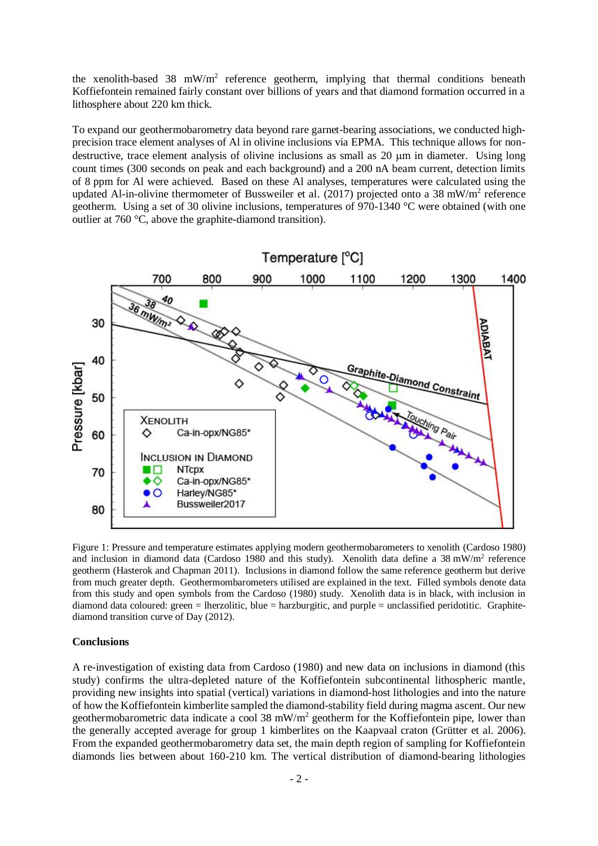the xenolith-based 38  $mW/m^2$  reference geotherm, implying that thermal conditions beneath Koffiefontein remained fairly constant over billions of years and that diamond formation occurred in a lithosphere about 220 km thick.

To expand our geothermobarometry data beyond rare garnet-bearing associations, we conducted highprecision trace element analyses of Al in olivine inclusions via EPMA. This technique allows for nondestructive, trace element analysis of olivine inclusions as small as 20  $\mu$ m in diameter. Using long count times (300 seconds on peak and each background) and a 200 nA beam current, detection limits of 8 ppm for Al were achieved. Based on these Al analyses, temperatures were calculated using the updated Al-in-olivine thermometer of Bussweiler et al. (2017) projected onto a 38 mW/m<sup>2</sup> reference geotherm. Using a set of 30 olivine inclusions, temperatures of 970-1340 °C were obtained (with one outlier at 760 °C, above the graphite-diamond transition).



Figure 1: Pressure and temperature estimates applying modern geothermobarometers to xenolith (Cardoso 1980) and inclusion in diamond data (Cardoso 1980 and this study). Xenolith data define a 38 mW/m<sup>2</sup> reference geotherm (Hasterok and Chapman 2011). Inclusions in diamond follow the same reference geotherm but derive from much greater depth. Geothermombarometers utilised are explained in the text. Filled symbols denote data from this study and open symbols from the Cardoso (1980) study. Xenolith data is in black, with inclusion in diamond data coloured: green = lherzolitic, blue = harzburgitic, and purple = unclassified peridotitic. Graphitediamond transition curve of Day (2012).

#### **Conclusions**

A re-investigation of existing data from Cardoso (1980) and new data on inclusions in diamond (this study) confirms the ultra-depleted nature of the Koffiefontein subcontinental lithospheric mantle, providing new insights into spatial (vertical) variations in diamond-host lithologies and into the nature of how the Koffiefontein kimberlite sampled the diamond-stability field during magma ascent. Our new geothermobarometric data indicate a cool 38 mW/m<sup>2</sup> geotherm for the Koffiefontein pipe, lower than the generally accepted average for group 1 kimberlites on the Kaapvaal craton (Grütter et al. 2006). From the expanded geothermobarometry data set, the main depth region of sampling for Koffiefontein diamonds lies between about 160-210 km. The vertical distribution of diamond-bearing lithologies